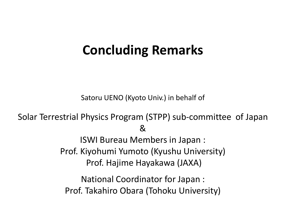## **Concluding Remarks**

Satoru UENO (Kyoto Univ.) in behalf of

Solar Terrestrial Physics Program (STPP) sub-committee of Japan & ISWI Bureau Members in Japan : Prof. Kiyohumi Yumoto (Kyushu University) Prof. Hajime Hayakawa (JAXA) National Coordinator for Japan : Prof. Takahiro Obara (Tohoku University)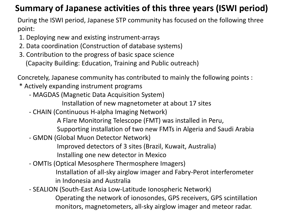## **Summary of Japanese activities of this three years (ISWI period)**

During the ISWI period, Japanese STP community has focused on the following three point:

- 1. Deploying new and existing instrument-arrays
- 2. Data coordination (Construction of database systems)
- 3. Contribution to the progress of basic space science (Capacity Building: Education, Training and Public outreach)

Concretely, Japanese community has contributed to mainly the following points :

- \* Actively expanding instrument programs
	- MAGDAS (Magnetic Data Acquisition System)
		- Installation of new magnetometer at about 17 sites
	- CHAIN (Continuous H-alpha Imaging Network)
		- A Flare Monitoring Telescope (FMT) was installed in Peru,
		- Supporting installation of two new FMTs in Algeria and Saudi Arabia
	- GMDN (Global Muon Detector Network)

Improved detectors of 3 sites (Brazil, Kuwait, Australia)

Installing one new detector in Mexico

- OMTIs (Optical Mesosphere Thermosphere Imagers)

 Installation of all-sky airglow imager and Fabry-Perot interferometer in Indonesia and Australia

 - SEALION (South-East Asia Low-Latitude Ionospheric Network) Operating the network of ionosondes, GPS receivers, GPS scintillation monitors, magnetometers, all-sky airglow imager and meteor radar.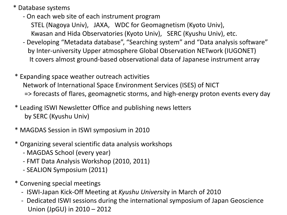\* Database systems

- On each web site of each instrument program STEL (Nagoya Univ), JAXA, WDC for Geomagnetism (Kyoto Univ), Kwasan and Hida Observatories (Kyoto Univ), SERC (Kyushu Univ), etc.
- Developing "Metadata database", "Searching system" and "Data analysis software" by Inter-university Upper atmosphere Global Observation NETwork (IUGONET) It covers almost ground-based observational data of Japanese instrument array
- \* Expanding space weather outreach activities Network of International Space Environment Services (ISES) of NICT => forecasts of flares, geomagnetic storms, and high-energy proton events every day
- \* Leading ISWI Newsletter Office and publishing news letters by SERC (Kyushu Univ)
- \* MAGDAS Session in ISWI symposium in 2010
- \* Organizing several scientific data analysis workshops
	- MAGDAS School (every year)
	- FMT Data Analysis Workshop (2010, 2011)
	- SEALION Symposium (2011)
- \* Convening special meetings
	- ISWI-Japan Kick-Off Meeting at *Kyushu Universit*y in March of 2010
	- Dedicated ISWI sessions during the international symposium of Japan Geoscience Union (JpGU) in 2010 – 2012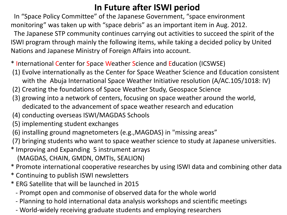## **In Future after ISWI period**

 In "Space Policy Committee" of the Japanese Government, "space environment monitoring" was taken up with "space debris" as an important item in Aug. 2012. The Japanese STP community continues carrying out activities to succeed the spirit of the ISWI program through mainly the following items, while taking a decided policy by United Nations and Japanese Ministry of Foreign Affairs into account.

- \* International Center for Space Weather Science and Education (ICSWSE)
- (1) Evolve internationally as the Center for Space Weather Science and Education consistent with the Abuja International Space Weather Initiative resolution (A/AC.105/1018: IV)
- (2) Creating the foundations of Space Weather Study, Geospace Science
- (3) growing into a network of centers, focusing on space weather around the world, dedicated to the advancement of space weather research and education
- (4) conducting overseas ISWI/MAGDAS Schools
- (5) implementing student exchanges
- (6) installing ground magnetometers (e.g.,MAGDAS) in "missing areas"
- (7) bringing students who want to space weather science to study at Japanese universities.
- \* Improving and Expanding 5 instrument arrays (MAGDAS, CHAIN, GMDN, OMTIs, SEALION)
- \* Promote international cooperative researches by using ISWI data and combining other data
- \* Continuing to publish ISWI newsletters
- \* ERG Satellite that will be launched in 2015
	- Prompt open and commonise of observed data for the whole world
	- Planning to hold international data analysis workshops and scientific meetings
	- World-widely receiving graduate students and employing researchers